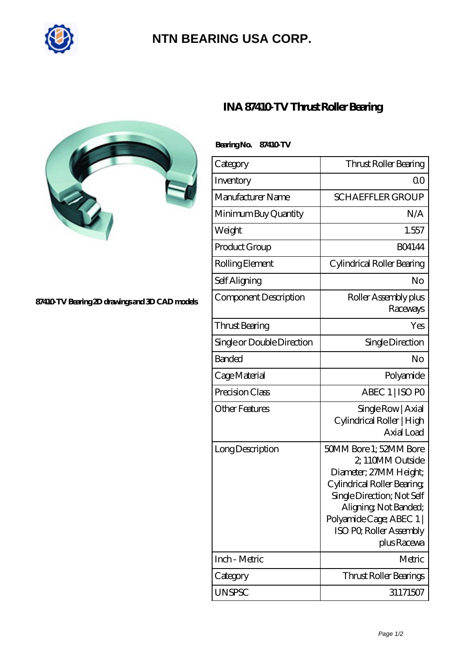

## **[NTN BEARING USA CORP.](https://m.tf-mael.com)**



**[87410-TV Bearing 2D drawings and 3D CAD models](https://m.tf-mael.com/pic-211513.html)**

| <b>INA 87410 TV Thrust Roller Bearing</b> |  |
|-------------------------------------------|--|
|-------------------------------------------|--|

| Bearing No. 87410 TV       |                                                                                                                                                                                                                               |
|----------------------------|-------------------------------------------------------------------------------------------------------------------------------------------------------------------------------------------------------------------------------|
| Category                   | Thrust Roller Bearing                                                                                                                                                                                                         |
| Inventory                  | 0 <sup>0</sup>                                                                                                                                                                                                                |
| Manufacturer Name          | <b>SCHAEFFLER GROUP</b>                                                                                                                                                                                                       |
| Minimum Buy Quantity       | N/A                                                                                                                                                                                                                           |
| Weight                     | 1.557                                                                                                                                                                                                                         |
| Product Group              | <b>BO4144</b>                                                                                                                                                                                                                 |
| Rolling Element            | Cylindrical Roller Bearing                                                                                                                                                                                                    |
| Self Aligning              | No                                                                                                                                                                                                                            |
| Component Description      | Roller Assembly plus<br>Raceways                                                                                                                                                                                              |
| Thrust Bearing             | Yes                                                                                                                                                                                                                           |
| Single or Double Direction | Single Direction                                                                                                                                                                                                              |
| <b>Banded</b>              | No                                                                                                                                                                                                                            |
| Cage Material              | Polyamide                                                                                                                                                                                                                     |
| Precision Class            | ABEC 1   ISO PO                                                                                                                                                                                                               |
| <b>Other Features</b>      | Single Row   Axial<br>Cylindrical Roller   High<br>Axial Load                                                                                                                                                                 |
| Long Description           | 50MM Bore 1; 52MM Bore<br>2, 110MM Outside<br>Diameter; 27MM Height;<br>Cylindrical Roller Bearing<br>Single Direction; Not Self<br>Aligning, Not Banded;<br>Polyamide Cage; ABEC 1<br>ISO PO, Roller Assembly<br>plus Racewa |
| Inch - Metric              | Metric                                                                                                                                                                                                                        |
| Category                   | Thrust Roller Bearings                                                                                                                                                                                                        |
| <b>UNSPSC</b>              | 31171507                                                                                                                                                                                                                      |